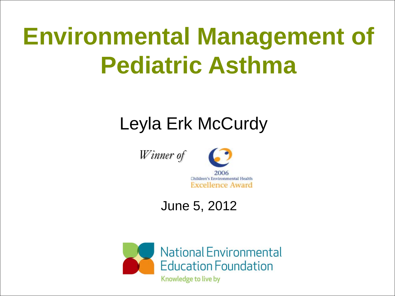# **Environmental Management of Pediatric Asthma**

#### Leyla Erk McCurdy





2006 Children's Environmental Health **Excellence Award** 

#### June 5, 2012

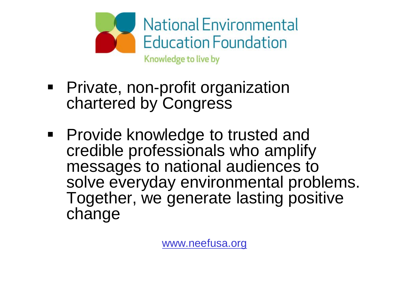

- **•** Private, non-profit organization chartered by Congress
- **Provide knowledge to trusted and** credible professionals who amplify messages to national audiences to solve everyday environmental problems. Together, we generate lasting positive change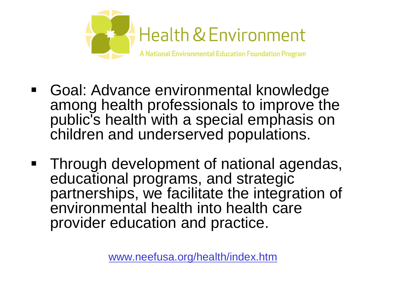

- Goal: Advance environmental knowledge among health professionals to improve the public's health with a special emphasis on children and underserved populations.
- Through development of national agendas, educational programs, and strategic partnerships, we facilitate the integration of environmental health into health care provider education and practice.

[www.neefusa.org/health/index.htm](http://www.neefusa.org/health/index.htm)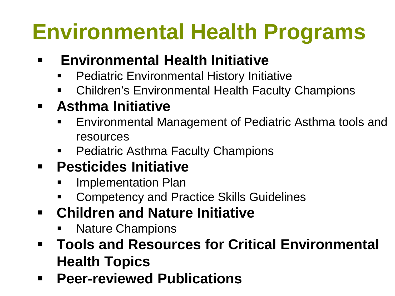# **Environmental Health Programs**

#### **Environmental Health Initiative**

- Pediatric Environmental History Initiative
- Children's Environmental Health Faculty Champions

#### **Asthma Initiative**

- Environmental Management of Pediatric Asthma tools and resources
- Pediatric Asthma Faculty Champions

#### **Pesticides Initiative**

- Implementation Plan
- Competency and Practice Skills Guidelines
- **Children and Nature Initiative**
	- Nature Champions
- **Tools and Resources for Critical Environmental Health Topics**
- **Peer-reviewed Publications**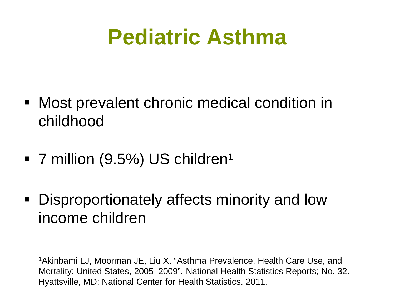## **Pediatric Asthma**

- Most prevalent chronic medical condition in childhood
- $\blacksquare$  7 million (9.5%) US children<sup>1</sup>
- Disproportionately affects minority and low income children

1Akinbami LJ, Moorman JE, Liu X. "Asthma Prevalence, Health Care Use, and Mortality: United States, 2005–2009". National Health Statistics Reports; No. 32. Hyattsville, MD: National Center for Health Statistics. 2011.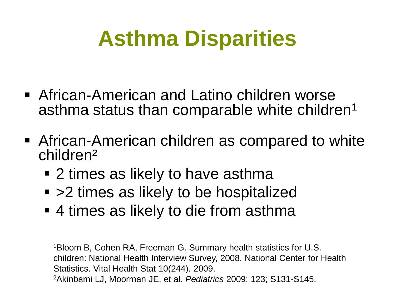## **Asthma Disparities**

- African-American and Latino children worse asthma status than comparable white children<sup>1</sup>
- African-American children as compared to white children²
	- 2 times as likely to have asthma
	- >2 times as likely to be hospitalized
	- 4 times as likely to die from asthma

1Bloom B, Cohen RA, Freeman G. Summary health statistics for U.S. children: National Health Interview Survey, 2008. National Center for Health Statistics. Vital Health Stat 10(244). 2009. 2Akinbami LJ, Moorman JE, et al. *Pediatrics* 2009: 123; S131-S145.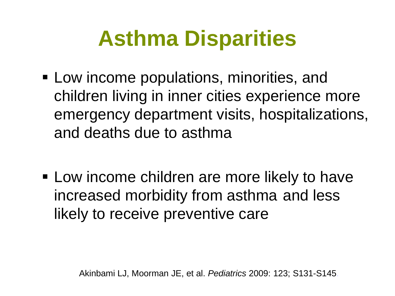## **Asthma Disparities**

- Low income populations, minorities, and children living in inner cities experience more emergency department visits, hospitalizations, and deaths due to asthma
- **Example 2** Low income children are more likely to have increased morbidity from asthma and less likely to receive preventive care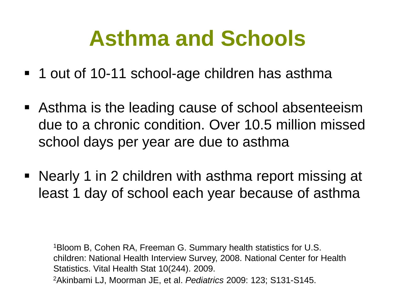## **Asthma and Schools**

- 1 out of 10-11 school-age children has asthma
- Asthma is the leading cause of school absenteeism due to a chronic condition. Over 10.5 million missed school days per year are due to asthma
- Nearly 1 in 2 children with asthma report missing at least 1 day of school each year because of asthma

1Bloom B, Cohen RA, Freeman G. Summary health statistics for U.S. children: National Health Interview Survey, 2008. National Center for Health Statistics. Vital Health Stat 10(244). 2009. 2Akinbami LJ, Moorman JE, et al. *Pediatrics* 2009: 123; S131-S145.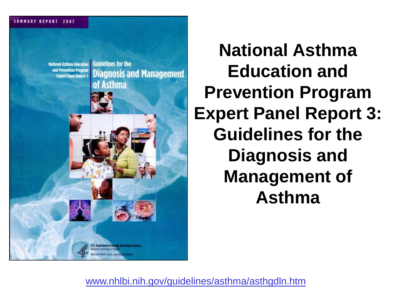

**National Asthma Education and Prevention Program Expert Panel Report 3: Guidelines for the Diagnosis and Management of Asthma**

[www.nhlbi.nih.gov/guidelines/asthma/asthgdln.htm](http://www.nhlbi.nih.gov/guidelines/asthma/asthgdln.htm)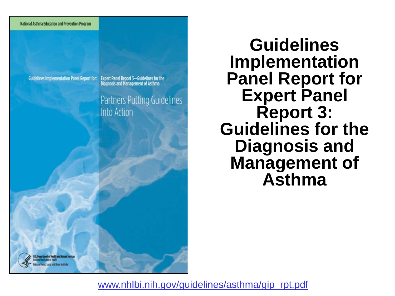

**Guidelines Implementation Panel Report for:** 

**Expert Panel Report 3-Guidelines for the** Diagnosis and Management of Asthma

Partners Putting Guidelines Into Action

**Guidelines Implementation Panel Report for Expert Panel Report 3: Guidelines for the Diagnosis and Management of Asthma**

U.S. Department of Hoalth and Human Se

[www.nhlbi.nih.gov/guidelines/asthma/gip\\_rpt.pdf](http://www.nhlbi.nih.gov/guidelines/asthma/gip_rpt.pdf)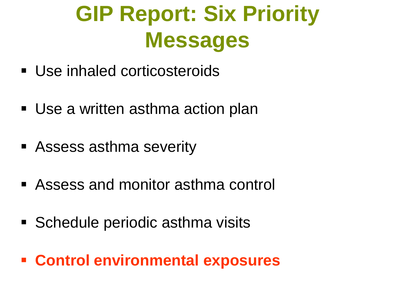# **GIP Report: Six Priority Messages**

- Use inhaled corticosteroids
- Use a written asthma action plan
- Assess asthma severity
- Assess and monitor asthma control
- **Schedule periodic asthma visits**
- **Control environmental exposures**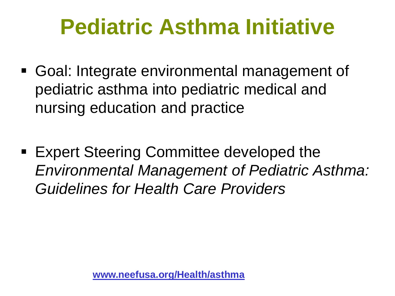## **Pediatric Asthma Initiative**

- Goal: Integrate environmental management of pediatric asthma into pediatric medical and nursing education and practice
- Expert Steering Committee developed the *Environmental Management of Pediatric Asthma: Guidelines for Health Care Providers*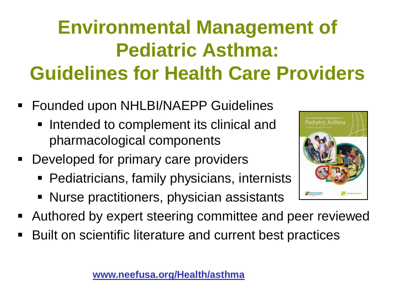#### **Environmental Management of Pediatric Asthma: Guidelines for Health Care Providers**

- **Founded upon NHLBI/NAEPP Guidelines** 
	- **Intended to complement its clinical and** pharmacological components
- **Developed for primary care providers** 
	- Pediatricians, family physicians, internists
	- Nurse practitioners, physician assistants
- Authored by expert steering committee and peer reviewed
- Built on scientific literature and current best practices



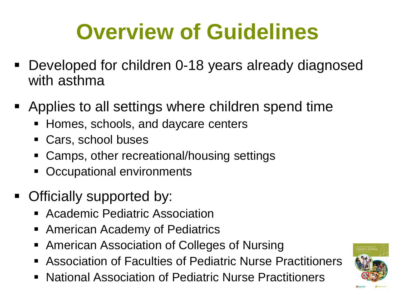# **Overview of Guidelines**

- Developed for children 0-18 years already diagnosed with asthma
- Applies to all settings where children spend time
	- Homes, schools, and daycare centers
	- Cars, school buses
	- Camps, other recreational/housing settings
	- **-** Occupational environments
- Officially supported by:
	- **Academic Pediatric Association**
	- **American Academy of Pediatrics**
	- American Association of Colleges of Nursing
	- Association of Faculties of Pediatric Nurse Practitioners
	- National Association of Pediatric Nurse Practitioners

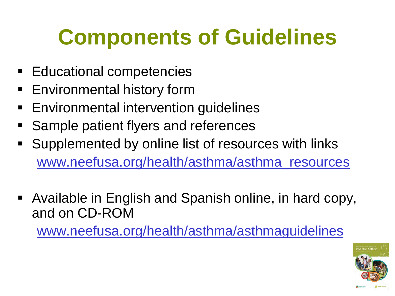## **Components of Guidelines**

- **Educational competencies**
- **Environmental history form**
- **Environmental intervention guidelines**
- **Sample patient flyers and references**
- Supplemented by online list of resources with links [www.neefusa.org/health/asthma/asthma\\_resources](http://www.neefusa.org/health/asthma/asthma_resources)
- Available in English and Spanish online, in hard copy, and on CD-ROM

[www.neefusa.org/health/asthma/asthmaguidelines](http://www.neefusa.org/health/asthma/asthmaguidelines)

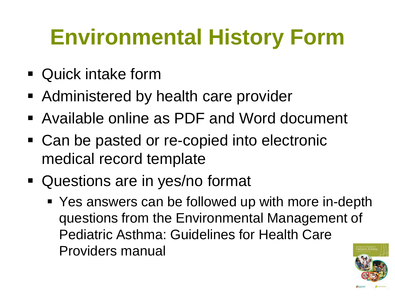## **Environmental History Form**

- Quick intake form
- Administered by health care provider
- Available online as PDF and Word document
- Can be pasted or re-copied into electronic medical record template
- Questions are in yes/no format
	- Yes answers can be followed up with more in-depth questions from the Environmental Management of Pediatric Asthma: Guidelines for Health Care Providers manual

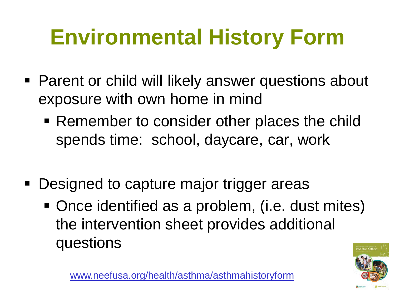# **Environmental History Form**

- **Parent or child will likely answer questions about** exposure with own home in mind
	- Remember to consider other places the child spends time: school, daycare, car, work
- Designed to capture major trigger areas
	- Once identified as a problem, (i.e. dust mites) the intervention sheet provides additional questions



[www.neefusa.org/health/asthma/asthmahistoryform](http://www.neefusa.org/health/asthma/asthmahistoryform)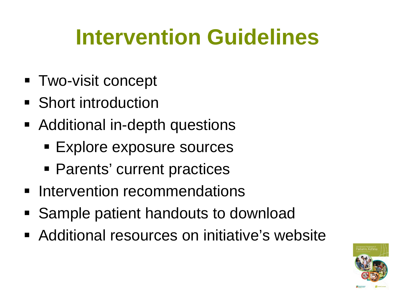## **Intervention Guidelines**

- **Two-visit concept**
- Short introduction
- Additional in-depth questions
	- **Explore exposure sources**
	- **Parents' current practices**
- **Intervention recommendations**
- Sample patient handouts to download
- **Additional resources on initiative's website**

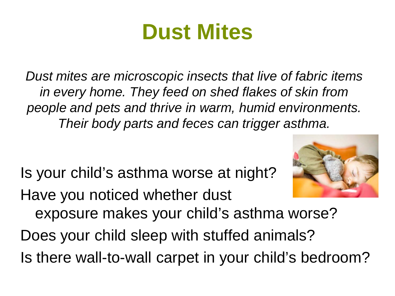## **Dust Mites**

*Dust mites are microscopic insects that live of fabric items in every home. They feed on shed flakes of skin from people and pets and thrive in warm, humid environments. Their body parts and feces can trigger asthma.* 

Is your child's asthma worse at night?

Have you noticed whether dust



exposure makes your child's asthma worse?

Does your child sleep with stuffed animals?

Is there wall-to-wall carpet in your child's bedroom?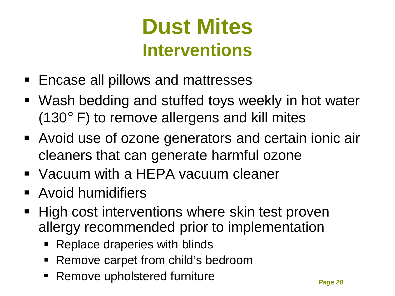#### **Dust Mites Interventions**

- Encase all pillows and mattresses
- Wash bedding and stuffed toys weekly in hot water (130° F) to remove allergens and kill mites
- Avoid use of ozone generators and certain ionic air cleaners that can generate harmful ozone
- Vacuum with a HEPA vacuum cleaner
- **Avoid humidifiers**
- High cost interventions where skin test proven allergy recommended prior to implementation
	- Replace draperies with blinds
	- Remove carpet from child's bedroom
	- Remove upholstered furniture *Page 20*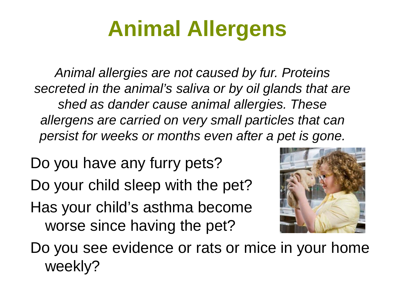## **Animal Allergens**

*Animal allergies are not caused by fur. Proteins secreted in the animal's saliva or by oil glands that are shed as dander cause animal allergies. These allergens are carried on very small particles that can persist for weeks or months even after a pet is gone.*

Do you have any furry pets?

Do your child sleep with the pet?

Has your child's asthma become worse since having the pet?



Do you see evidence or rats or mice in your home weekly?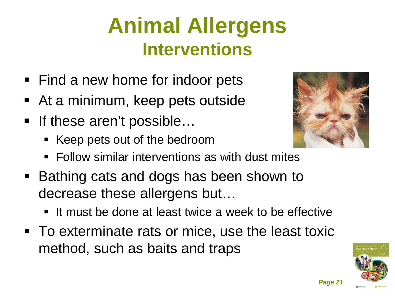### **Animal Allergens Interventions**

- Find a new home for indoor pets
- At a minimum, keep pets outside
- If these aren't possible...
	- Keep pets out of the bedroom
- 
- **Follow similar interventions as with dust mites**
- Bathing cats and dogs has been shown to decrease these allergens but…
	- It must be done at least twice a week to be effective
- To exterminate rats or mice, use the least toxic method, such as baits and traps

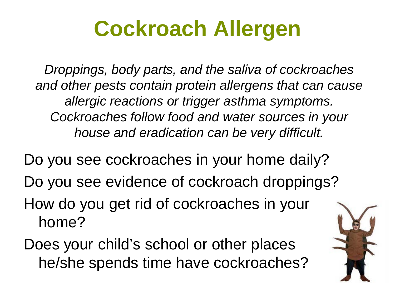# **Cockroach Allergen**

*Droppings, body parts, and the saliva of cockroaches and other pests contain protein allergens that can cause allergic reactions or trigger asthma symptoms. Cockroaches follow food and water sources in your house and eradication can be very difficult.*

Do you see cockroaches in your home daily?

- Do you see evidence of cockroach droppings?
- How do you get rid of cockroaches in your home?
- Does your child's school or other places he/she spends time have cockroaches?

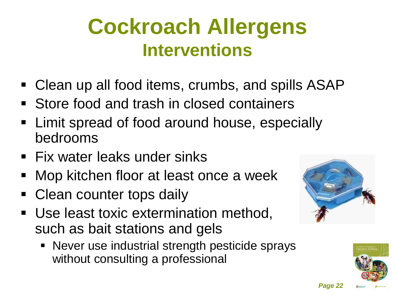#### **Cockroach Allergens Interventions**

- Clean up all food items, crumbs, and spills ASAP
- **Store food and trash in closed containers**
- Limit spread of food around house, especially bedrooms
- **Fix water leaks under sinks**
- Mop kitchen floor at least once a week
- Clean counter tops daily
- Use least toxic extermination method, such as bait stations and gels
	- Never use industrial strength pesticide sprays without consulting a professional



*Page 22*

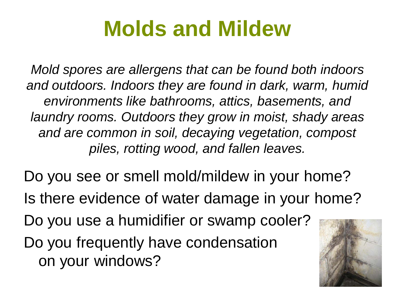## **Molds and Mildew**

*Mold spores are allergens that can be found both indoors and outdoors. Indoors they are found in dark, warm, humid environments like bathrooms, attics, basements, and laundry rooms. Outdoors they grow in moist, shady areas and are common in soil, decaying vegetation, compost piles, rotting wood, and fallen leaves.* 

Do you see or smell mold/mildew in your home? Is there evidence of water damage in your home? Do you use a humidifier or swamp cooler? Do you frequently have condensation on your windows?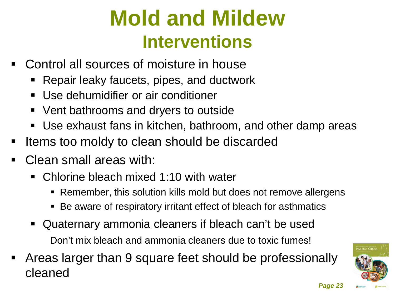### **Mold and Mildew Interventions**

- Control all sources of moisture in house
	- Repair leaky faucets, pipes, and ductwork
	- Use dehumidifier or air conditioner
	- Vent bathrooms and dryers to outside
	- Use exhaust fans in kitchen, bathroom, and other damp areas
- Items too moldy to clean should be discarded
- Clean small areas with:
	- Chlorine bleach mixed 1:10 with water
		- Remember, this solution kills mold but does not remove allergens
		- Be aware of respiratory irritant effect of bleach for asthmatics
	- Quaternary ammonia cleaners if bleach can't be used Don't mix bleach and ammonia cleaners due to toxic fumes!
- Areas larger than 9 square feet should be professionally cleaned

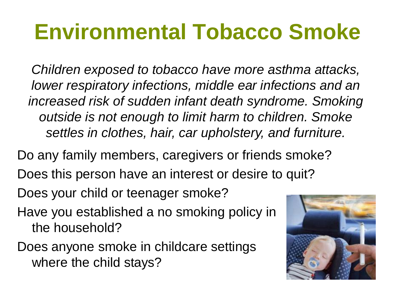## **Environmental Tobacco Smoke**

*Children exposed to tobacco have more asthma attacks, lower respiratory infections, middle ear infections and an increased risk of sudden infant death syndrome. Smoking outside is not enough to limit harm to children. Smoke settles in clothes, hair, car upholstery, and furniture.*

Do any family members, caregivers or friends smoke? Does this person have an interest or desire to quit? Does your child or teenager smoke?

- Have you established a no smoking policy in the household?
- Does anyone smoke in childcare settings where the child stays?

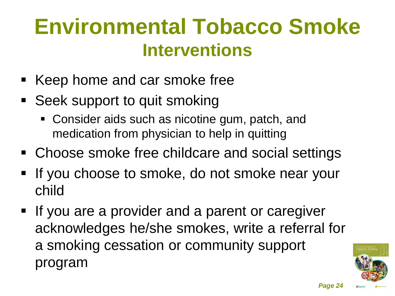### **Environmental Tobacco Smoke Interventions**

- Keep home and car smoke free
- Seek support to quit smoking
	- Consider aids such as nicotine gum, patch, and medication from physician to help in quitting
- Choose smoke free childcare and social settings
- If you choose to smoke, do not smoke near your child
- **If you are a provider and a parent or caregiver** acknowledges he/she smokes, write a referral for a smoking cessation or community support program

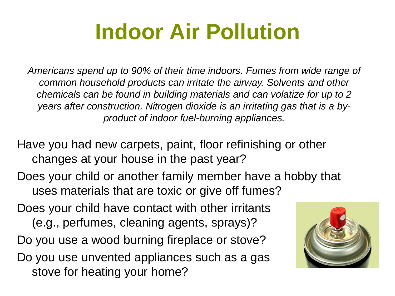## **Indoor Air Pollution**

*Americans spend up to 90% of their time indoors. Fumes from wide range of common household products can irritate the airway. Solvents and other chemicals can be found in building materials and can volatize for up to 2 years after construction. Nitrogen dioxide is an irritating gas that is a byproduct of indoor fuel-burning appliances.*

Have you had new carpets, paint, floor refinishing or other changes at your house in the past year?

Does your child or another family member have a hobby that uses materials that are toxic or give off fumes?

Does your child have contact with other irritants (e.g., perfumes, cleaning agents, sprays)? Do you use a wood burning fireplace or stove? Do you use unvented appliances such as a gas stove for heating your home?

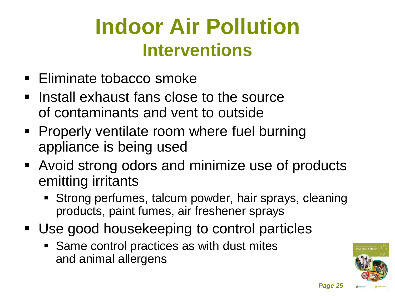## **Indoor Air Pollution Interventions**

- **Eliminate tobacco smoke**
- $\blacksquare$  Install exhaust fans close to the source of contaminants and vent to outside
- **Properly ventilate room where fuel burning** appliance is being used
- Avoid strong odors and minimize use of products emitting irritants
	- Strong perfumes, talcum powder, hair sprays, cleaning products, paint fumes, air freshener sprays
- Use good housekeeping to control particles
	- Same control practices as with dust mites and animal allergens

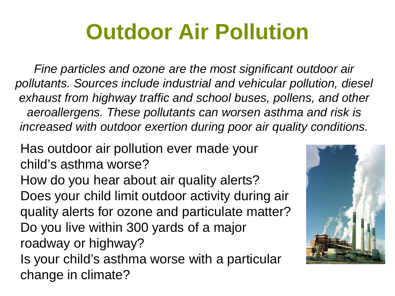## **Outdoor Air Pollution**

*Fine particles and ozone are the most significant outdoor air pollutants. Sources include industrial and vehicular pollution, diesel exhaust from highway traffic and school buses, pollens, and other aeroallergens. These pollutants can worsen asthma and risk is increased with outdoor exertion during poor air quality conditions.*

Has outdoor air pollution ever made your child's asthma worse?

How do you hear about air quality alerts? Does your child limit outdoor activity during air quality alerts for ozone and particulate matter? Do you live within 300 yards of a major roadway or highway?

Is your child's asthma worse with a particular change in climate?

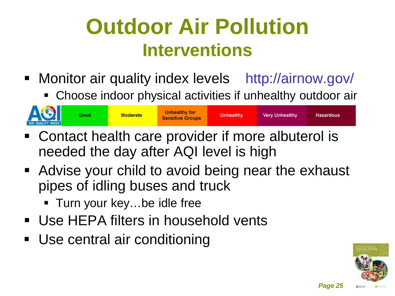### **Outdoor Air Pollution Interventions**

- **Monitor air quality index levels** http://airnow.gov/
	- Choose indoor physical activities if unhealthy outdoor air



- Contact health care provider if more albuterol is needed the day after AQI level is high
- Advise your child to avoid being near the exhaust pipes of idling buses and truck
	- Turn your key...be idle free
- Use HEPA filters in household vents
- Use central air conditioning



*Page 25*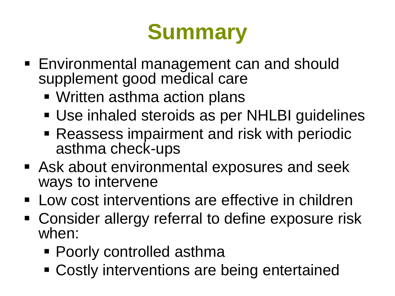## **Summary**

- Environmental management can and should supplement good medical care
	- Written asthma action plans
	- Use inhaled steroids as per NHLBI guidelines
	- Reassess impairment and risk with periodic asthma check-ups
- Ask about environmental exposures and seek ways to intervene
- **Low cost interventions are effective in children**
- Consider allergy referral to define exposure risk when:
	- Poorly controlled asthma
	- Costly interventions are being entertained